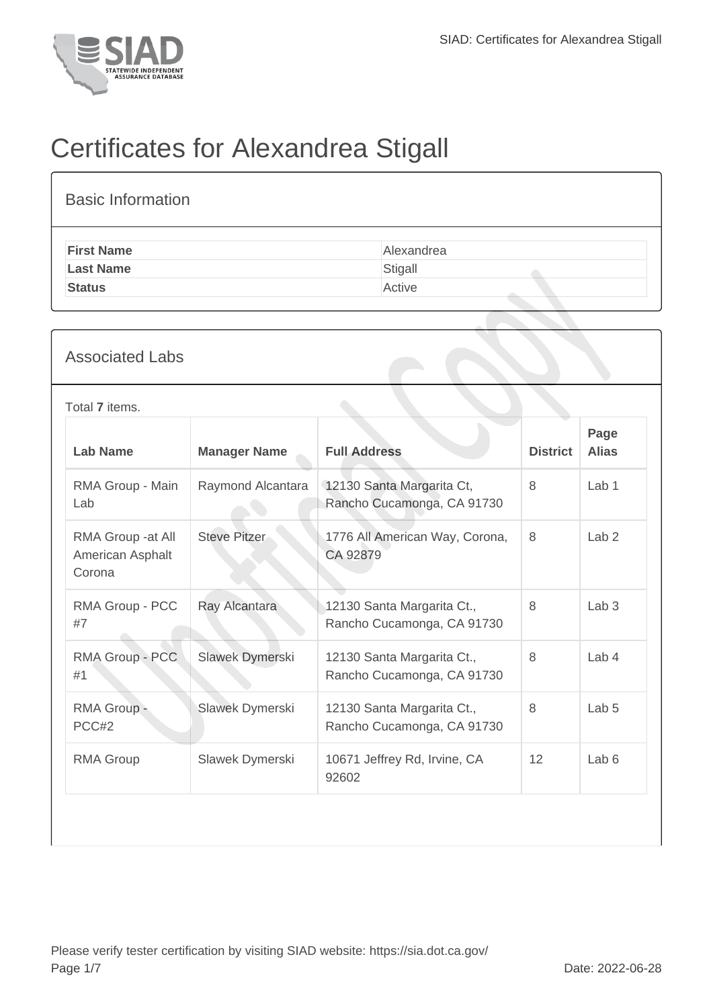

## Certificates for Alexandrea Stigall

| <b>Basic Information</b>                                                                  |                     |                                                                 |                                                          |                 |                      |  |  |
|-------------------------------------------------------------------------------------------|---------------------|-----------------------------------------------------------------|----------------------------------------------------------|-----------------|----------------------|--|--|
| <b>First Name</b><br>Alexandrea<br><b>Last Name</b><br>Stigall<br>Active<br><b>Status</b> |                     |                                                                 |                                                          |                 |                      |  |  |
| <b>Associated Labs</b>                                                                    |                     |                                                                 |                                                          |                 |                      |  |  |
| Total 7 items.                                                                            |                     |                                                                 |                                                          |                 |                      |  |  |
| <b>Lab Name</b>                                                                           | <b>Manager Name</b> | <b>Full Address</b>                                             |                                                          | <b>District</b> | Page<br><b>Alias</b> |  |  |
| RMA Group - Main<br>Lab                                                                   | Raymond Alcantara   |                                                                 | 12130 Santa Margarita Ct,<br>Rancho Cucamonga, CA 91730  | 8               | Lab <sub>1</sub>     |  |  |
| RMA Group - at All<br>American Asphalt<br>Corona                                          | <b>Steve Pitzer</b> | CA 92879                                                        | 1776 All American Way, Corona,                           | 8               | Lab <sub>2</sub>     |  |  |
| RMA Group - PCC<br>#7                                                                     | Ray Alcantara       |                                                                 | 12130 Santa Margarita Ct.,<br>Rancho Cucamonga, CA 91730 | 8               | Lab <sub>3</sub>     |  |  |
| RMA Group - PCC<br>#1                                                                     | Slawek Dymerski     |                                                                 | 12130 Santa Margarita Ct.,<br>Rancho Cucamonga, CA 91730 | 8               | Lab 4                |  |  |
| RMA Group -<br>PCC#2                                                                      | Slawek Dymerski     |                                                                 | 12130 Santa Margarita Ct.,<br>Rancho Cucamonga, CA 91730 | 8               | Lab <sub>5</sub>     |  |  |
| <b>RMA Group</b>                                                                          | Slawek Dymerski     | Lab <sub>6</sub><br>10671 Jeffrey Rd, Irvine, CA<br>12<br>92602 |                                                          |                 |                      |  |  |
|                                                                                           |                     |                                                                 |                                                          |                 |                      |  |  |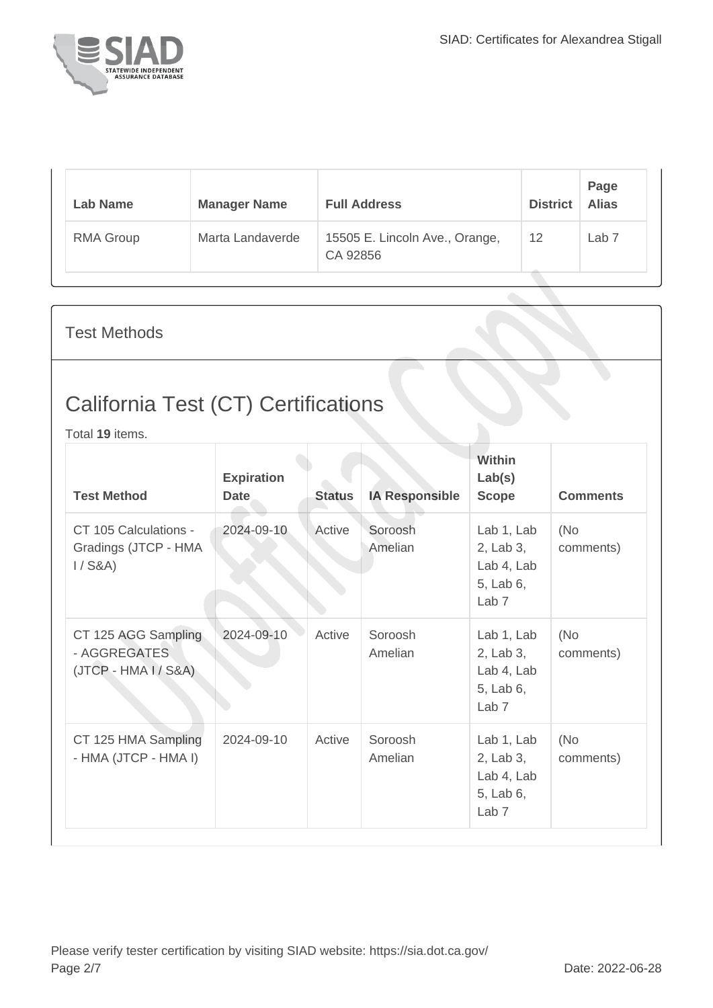

| Lab Name         | <b>Manager Name</b> | <b>Full Address</b>                        | <b>District</b> | Page<br><b>Alias</b> |
|------------------|---------------------|--------------------------------------------|-----------------|----------------------|
| <b>RMA Group</b> | Marta Landaverde    | 15505 E. Lincoln Ave., Orange,<br>CA 92856 | 12              | Lab 7                |

Test Methods

## California Test (CT) Certifications

Total **19** items.

| <b>Test Method</b>                                            | <b>Expiration</b><br><b>Date</b> | <b>Status</b> | <b>IA Responsible</b> | Within<br>Lab(s)<br><b>Scope</b>                                       | <b>Comments</b>   |
|---------------------------------------------------------------|----------------------------------|---------------|-----------------------|------------------------------------------------------------------------|-------------------|
| CT 105 Calculations -<br>Gradings (JTCP - HMA<br>$1/$ S&A)    | 2024-09-10                       | Active        | Soroosh<br>Amelian    | Lab 1, Lab<br>2, Lab 3,<br>Lab 4, Lab<br>5, Lab 6,<br>Lab <sub>7</sub> | (No)<br>comments) |
| CT 125 AGG Sampling<br>- AGGREGATES<br>$(JTCP - HMA I / S&A)$ | 2024-09-10                       | Active        | Soroosh<br>Amelian    | Lab 1, Lab<br>2, Lab 3,<br>Lab 4, Lab<br>5, Lab 6,<br>Lab <sub>7</sub> | (No)<br>comments) |
| CT 125 HMA Sampling<br>- HMA (JTCP - HMA I)                   | 2024-09-10                       | Active        | Soroosh<br>Amelian    | Lab 1, Lab<br>2, Lab 3,<br>Lab 4, Lab<br>5, Lab 6,<br>Lab <sub>7</sub> | (No)<br>comments) |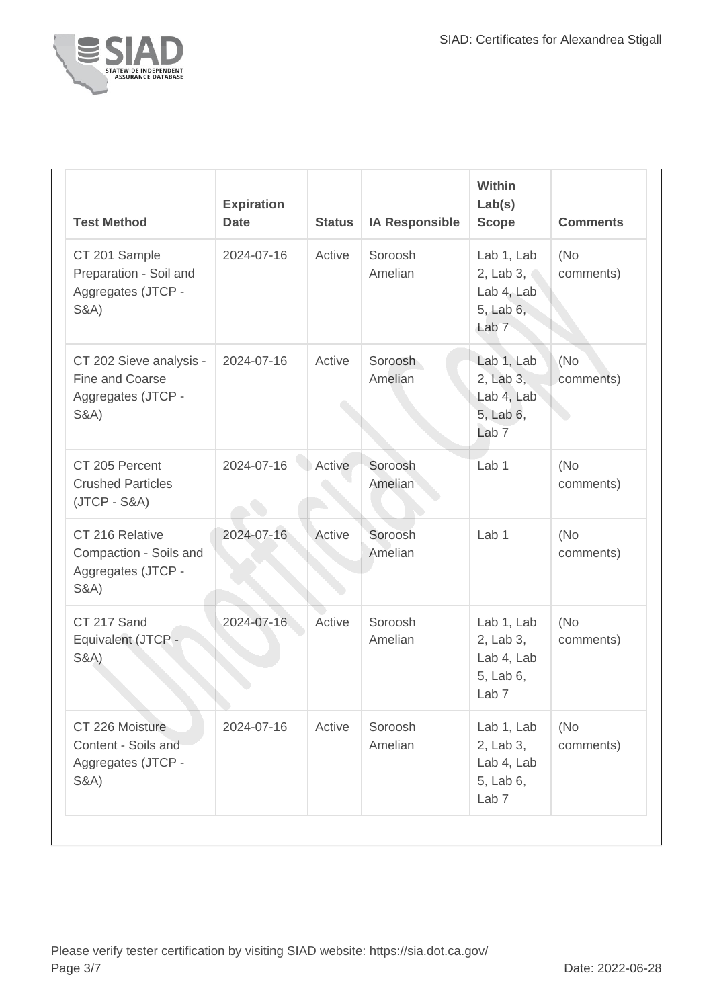

| <b>Test Method</b>                                                                   | <b>Expiration</b><br><b>Date</b> | <b>Status</b> | <b>IA Responsible</b> | Within<br>Lab(s)<br><b>Scope</b>                                                | <b>Comments</b>  |
|--------------------------------------------------------------------------------------|----------------------------------|---------------|-----------------------|---------------------------------------------------------------------------------|------------------|
| CT 201 Sample<br>Preparation - Soil and<br>Aggregates (JTCP -<br><b>S&amp;A)</b>     | 2024-07-16                       | Active        | Soroosh<br>Amelian    | Lab 1, Lab<br>2, Lab $3 \degree$<br>Lab 4, Lab<br>5, Lab 6,<br>Lab <sub>7</sub> | (No<br>comments) |
| CT 202 Sieve analysis -<br>Fine and Coarse<br>Aggregates (JTCP -<br><b>S&amp;A</b> ) | 2024-07-16                       | Active        | Soroosh<br>Amelian    | Lab 1, Lab<br>2, Lab 3,<br>Lab 4, Lab<br>5, Lab 6,<br>Lab <sub>7</sub>          | (No<br>comments) |
| CT 205 Percent<br><b>Crushed Particles</b><br>$(JTCP - S&A)$                         | 2024-07-16                       | Active        | Soroosh<br>Amelian    | Lab 1                                                                           | (No<br>comments) |
| CT 216 Relative<br>Compaction - Soils and<br>Aggregates (JTCP -<br><b>S&amp;A</b> )  | 2024-07-16                       | Active        | Soroosh<br>Amelian    | Lab <sub>1</sub>                                                                | (No<br>comments) |
| CT 217 Sand<br>Equivalent (JTCP -<br><b>S&amp;A</b> )                                | 2024-07-16                       | Active        | Soroosh<br>Amelian    | Lab 1, Lab<br>2, Lab 3,<br>Lab 4, Lab<br>5, Lab 6,<br>Lab <sub>7</sub>          | (No<br>comments) |
| CT 226 Moisture<br>Content - Soils and<br>Aggregates (JTCP -<br><b>S&amp;A</b> )     | 2024-07-16                       | Active        | Soroosh<br>Amelian    | Lab 1, Lab<br>2, Lab 3,<br>Lab 4, Lab<br>5, Lab 6,<br>Lab <sub>7</sub>          | (No<br>comments) |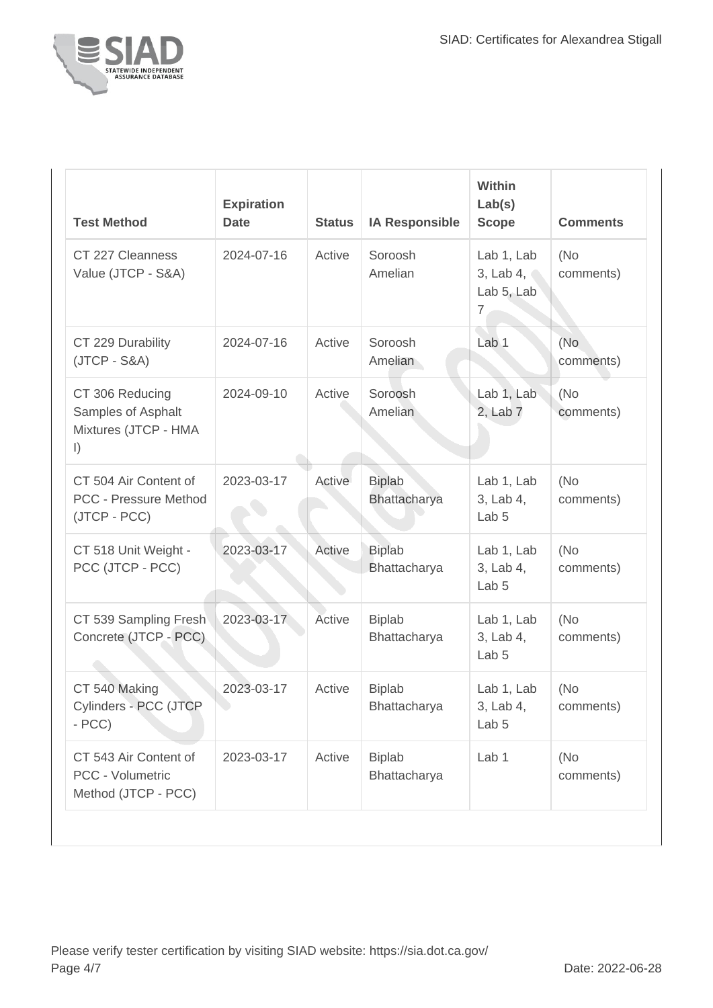

| <b>Test Method</b>                                                       | <b>Expiration</b><br><b>Date</b> | <b>Status</b> | <b>IA Responsible</b>                | Within<br>Lab(s)<br><b>Scope</b>                        | <b>Comments</b>   |
|--------------------------------------------------------------------------|----------------------------------|---------------|--------------------------------------|---------------------------------------------------------|-------------------|
| CT 227 Cleanness<br>Value (JTCP - S&A)                                   | 2024-07-16                       | Active        | Soroosh<br>Amelian                   | Lab 1, Lab<br>3, Lab 4,<br>Lab 5, Lab<br>$\overline{7}$ | (No)<br>comments) |
| CT 229 Durability<br>$(JTCP - S&A)$                                      | 2024-07-16                       | Active        | Soroosh<br>Amelian                   | Lab <sub>1</sub>                                        | (No<br>comments)  |
| CT 306 Reducing<br>Samples of Asphalt<br>Mixtures (JTCP - HMA<br>$\vert$ | 2024-09-10                       | Active        | Soroosh<br>Amelian                   | Lab 1, Lab<br>2, Lab 7                                  | (No)<br>comments) |
| CT 504 Air Content of<br>PCC - Pressure Method<br>(JTCP - PCC)           | 2023-03-17                       | Active        | <b>Biplab</b><br><b>Bhattacharya</b> | Lab 1, Lab<br>3, Lab 4,<br>Lab <sub>5</sub>             | (No)<br>comments) |
| CT 518 Unit Weight -<br>PCC (JTCP - PCC)                                 | 2023-03-17                       | Active        | <b>Biplab</b><br>Bhattacharya        | Lab 1, Lab<br>3, Lab 4,<br>Lab <sub>5</sub>             | (No<br>comments)  |
| CT 539 Sampling Fresh<br>Concrete (JTCP - PCC)                           | 2023-03-17                       | Active        | <b>Biplab</b><br>Bhattacharya        | Lab 1, Lab<br>3, Lab 4,<br>Lab <sub>5</sub>             | (No)<br>comments) |
| CT 540 Making<br>Cylinders - PCC (JTCP<br>$- PCC$                        | 2023-03-17                       | Active        | <b>Biplab</b><br>Bhattacharya        | Lab 1, Lab<br>3, Lab 4,<br>Lab <sub>5</sub>             | (No)<br>comments) |
| CT 543 Air Content of<br>PCC - Volumetric<br>Method (JTCP - PCC)         | 2023-03-17                       | Active        | <b>Biplab</b><br>Bhattacharya        | Lab 1                                                   | (No<br>comments)  |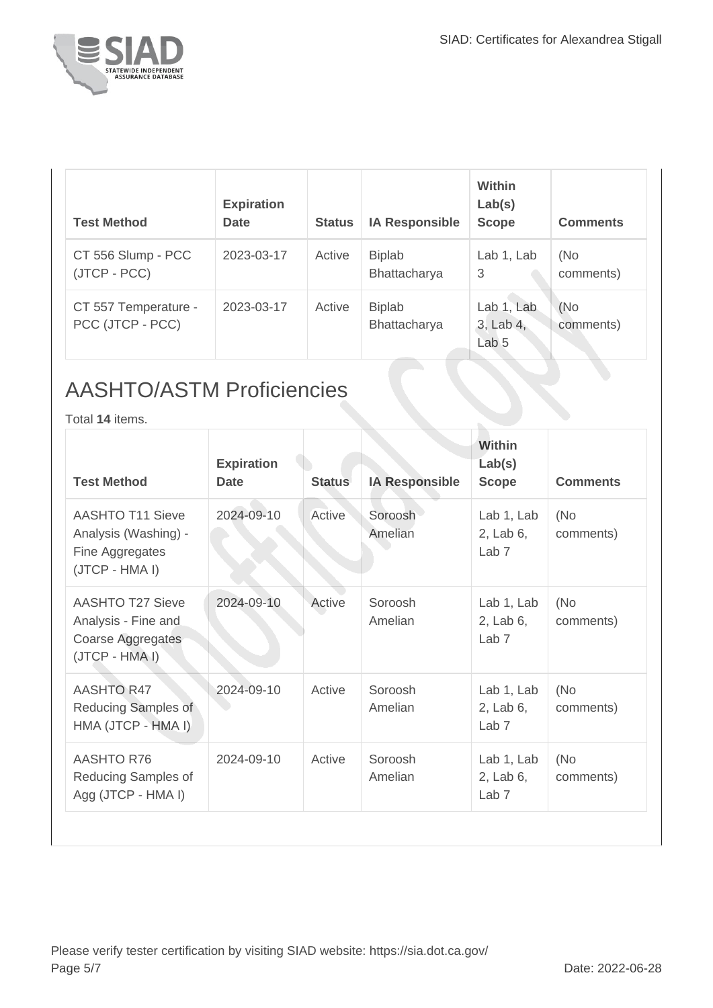

| <b>Test Method</b>                       | <b>Expiration</b><br><b>Date</b> | <b>Status</b> | <b>IA Responsible</b>         | <b>Within</b><br>Lab(s)<br><b>Scope</b>         | <b>Comments</b>   |
|------------------------------------------|----------------------------------|---------------|-------------------------------|-------------------------------------------------|-------------------|
| CT 556 Slump - PCC<br>(JTCP - PCC)       | 2023-03-17                       | Active        | <b>Biplab</b><br>Bhattacharya | Lab 1, Lab<br>3                                 | (No)<br>comments) |
| CT 557 Temperature -<br>PCC (JTCP - PCC) | 2023-03-17                       | Active        | <b>Biplab</b><br>Bhattacharya | Lab 1, Lab<br>$3,$ Lab $4,$<br>Lab <sub>5</sub> | (No)<br>comments) |

## AASHTO/ASTM Proficiencies

Total **14** items.

| <b>Test Method</b>                                                                    | <b>Expiration</b><br><b>Date</b> | <b>Status</b> | <b>IA Responsible</b> | <b>Within</b><br>Lab(s)<br><b>Scope</b>     | <b>Comments</b>  |
|---------------------------------------------------------------------------------------|----------------------------------|---------------|-----------------------|---------------------------------------------|------------------|
| <b>AASHTO T11 Sieve</b><br>Analysis (Washing) -<br>Fine Aggregates<br>(JTCP - HMA I)  | 2024-09-10                       | Active        | Soroosh<br>Amelian    | Lab 1, Lab<br>2, Lab 6,<br>Lab <sub>7</sub> | (No<br>comments) |
| AASHTO T27 Sieve<br>Analysis - Fine and<br><b>Coarse Aggregates</b><br>(JTCP - HMA I) | 2024-09-10                       | Active        | Soroosh<br>Amelian    | Lab 1, Lab<br>2, Lab 6,<br>Lab <sub>7</sub> | (No<br>comments) |
| <b>AASHTO R47</b><br>Reducing Samples of<br>HMA (JTCP - HMA I)                        | 2024-09-10                       | Active        | Soroosh<br>Amelian    | Lab 1, Lab<br>2, Lab 6,<br>Lab <sub>7</sub> | (No<br>comments) |
| <b>AASHTO R76</b><br>Reducing Samples of<br>Agg (JTCP - HMA I)                        | 2024-09-10                       | Active        | Soroosh<br>Amelian    | Lab 1, Lab<br>2, Lab 6,<br>Lab <sub>7</sub> | (No<br>comments) |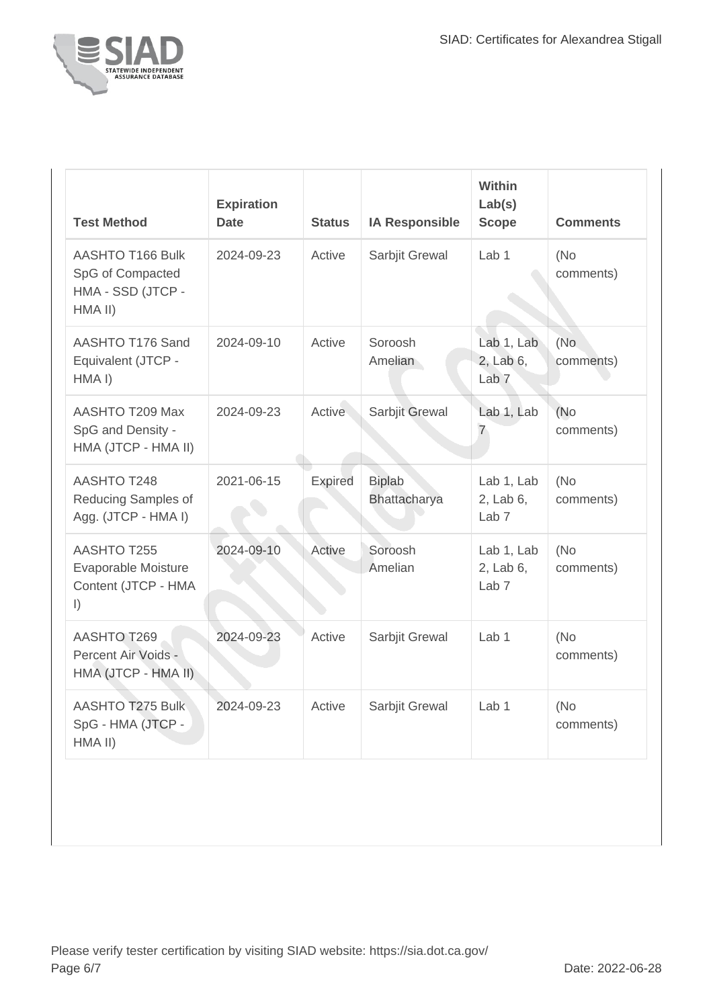

| <b>Test Method</b>                                                          | <b>Expiration</b><br><b>Date</b> | <b>Status</b>  | <b>IA Responsible</b>         | <b>Within</b><br>Lab(s)<br><b>Scope</b>     | <b>Comments</b>  |
|-----------------------------------------------------------------------------|----------------------------------|----------------|-------------------------------|---------------------------------------------|------------------|
| AASHTO T166 Bulk<br>SpG of Compacted<br>HMA - SSD (JTCP -<br>HMA II)        | 2024-09-23                       | Active         | Sarbjit Grewal                | Lab <sub>1</sub>                            | (No<br>comments) |
| AASHTO T176 Sand<br>Equivalent (JTCP -<br>HMA <sub>I</sub> )                | 2024-09-10                       | Active         | Soroosh<br>Amelian            | Lab 1, Lab<br>2, Lab 6,<br>Lab <sub>7</sub> | (No<br>comments) |
| AASHTO T209 Max<br>SpG and Density -<br>HMA (JTCP - HMA II)                 | 2024-09-23                       | Active         | Sarbjit Grewal                | Lab 1, Lab<br>7                             | (No<br>comments) |
| AASHTO T248<br>Reducing Samples of<br>Agg. (JTCP - HMA I)                   | 2021-06-15                       | <b>Expired</b> | <b>Biplab</b><br>Bhattacharya | Lab 1, Lab<br>2, Lab 6,<br>Lab <sub>7</sub> | (No<br>comments) |
| <b>AASHTO T255</b><br>Evaporable Moisture<br>Content (JTCP - HMA<br>$\vert$ | 2024-09-10                       | Active         | Soroosh<br>Amelian            | Lab 1, Lab<br>2, Lab 6,<br>Lab <sub>7</sub> | (No<br>comments) |
| AASHTO T269<br>Percent Air Voids -<br>HMA (JTCP - HMA II)                   | 2024-09-23                       | Active         | Sarbjit Grewal                | Lab <sub>1</sub>                            | (No<br>comments) |
| AASHTO T275 Bulk<br>SpG - HMA (JTCP -<br>HMA II)                            | 2024-09-23                       | Active         | Sarbjit Grewal                | Lab <sub>1</sub>                            | (No<br>comments) |